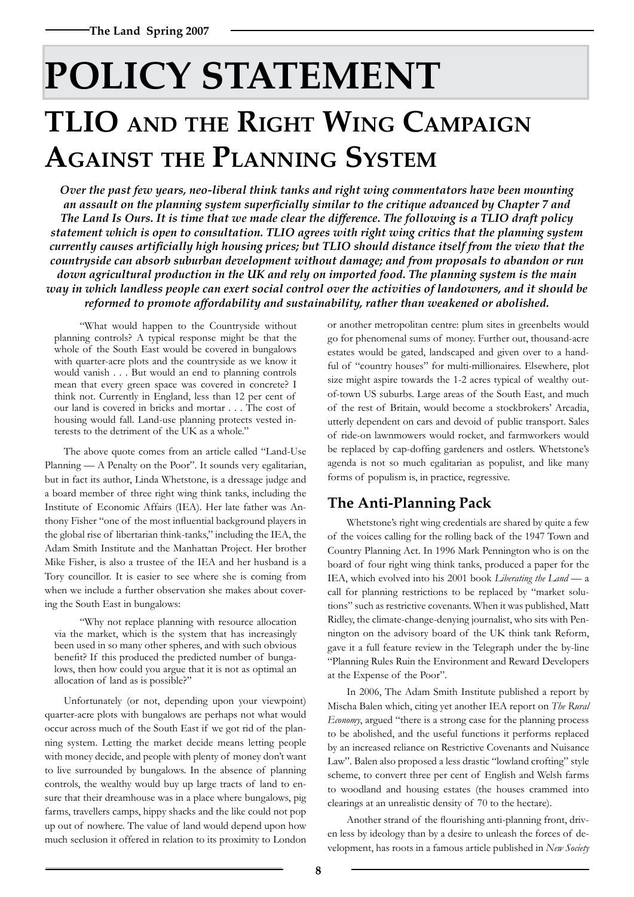# **POLICY STATEMENT TLIO and the Right Wing Campaign Against the Planning System**

*Over the past few years, neo-liberal think tanks and right wing commentators have been mounting an assault on the planning system superficially similar to the critique advanced by Chapter 7 and The Land Is Ours. It is time that we made clear the difference. The following is a TLIO draft policy statement which is open to consultation. TLIO agrees with right wing critics that the planning system currently causes artificially high housing prices; but TLIO should distance itself from the view that the countryside can absorb suburban development without damage; and from proposals to abandon or run down agricultural production in the UK and rely on imported food. The planning system is the main way in which landless people can exert social control over the activities of landowners, and it should be reformed to promote affordability and sustainability, rather than weakened or abolished.* 

"What would happen to the Countryside without planning controls? A typical response might be that the whole of the South East would be covered in bungalows with quarter-acre plots and the countryside as we know it would vanish . . . But would an end to planning controls mean that every green space was covered in concrete? I think not. Currently in England, less than 12 per cent of our land is covered in bricks and mortar . . . The cost of housing would fall. Land-use planning protects vested interests to the detriment of the UK as a whole."

The above quote comes from an article called "Land-Use Planning — A Penalty on the Poor". It sounds very egalitarian, but in fact its author, Linda Whetstone, is a dressage judge and a board member of three right wing think tanks, including the Institute of Economic Affairs (IEA). Her late father was Anthony Fisher "one of the most influential background players in the global rise of libertarian think-tanks," including the IEA, the Adam Smith Institute and the Manhattan Project. Her brother Mike Fisher, is also a trustee of the IEA and her husband is a Tory councillor. It is easier to see where she is coming from when we include a further observation she makes about covering the South East in bungalows:

"Why not replace planning with resource allocation via the market, which is the system that has increasingly been used in so many other spheres, and with such obvious benefit? If this produced the predicted number of bungalows, then how could you argue that it is not as optimal an allocation of land as is possible?"

Unfortunately (or not, depending upon your viewpoint) quarter-acre plots with bungalows are perhaps not what would occur across much of the South East if we got rid of the planning system. Letting the market decide means letting people with money decide, and people with plenty of money don't want to live surrounded by bungalows. In the absence of planning controls, the wealthy would buy up large tracts of land to ensure that their dreamhouse was in a place where bungalows, pig farms, travellers camps, hippy shacks and the like could not pop up out of nowhere. The value of land would depend upon how much seclusion it offered in relation to its proximity to London

or another metropolitan centre: plum sites in greenbelts would go for phenomenal sums of money. Further out, thousand-acre estates would be gated, landscaped and given over to a handful of "country houses" for multi-millionaires. Elsewhere, plot size might aspire towards the 1-2 acres typical of wealthy outof-town US suburbs. Large areas of the South East, and much of the rest of Britain, would become a stockbrokers' Arcadia, utterly dependent on cars and devoid of public transport. Sales of ride-on lawnmowers would rocket, and farmworkers would be replaced by cap-doffing gardeners and ostlers. Whetstone's agenda is not so much egalitarian as populist, and like many forms of populism is, in practice, regressive.

## **The Anti-Planning Pack**

Whetstone's right wing credentials are shared by quite a few of the voices calling for the rolling back of the 1947 Town and Country Planning Act. In 1996 Mark Pennington who is on the board of four right wing think tanks, produced a paper for the IEA, which evolved into his 2001 book *Liberating the Land* — a call for planning restrictions to be replaced by "market solutions" such as restrictive covenants. When it was published, Matt Ridley, the climate-change-denying journalist, who sits with Pennington on the advisory board of the UK think tank Reform, gave it a full feature review in the Telegraph under the by-line "Planning Rules Ruin the Environment and Reward Developers at the Expense of the Poor".

In 2006, The Adam Smith Institute published a report by Mischa Balen which, citing yet another IEA report on *The Rural Economy*, argued "there is a strong case for the planning process to be abolished, and the useful functions it performs replaced by an increased reliance on Restrictive Covenants and Nuisance Law". Balen also proposed a less drastic "lowland crofting" style scheme, to convert three per cent of English and Welsh farms to woodland and housing estates (the houses crammed into clearings at an unrealistic density of 70 to the hectare).

Another strand of the flourishing anti-planning front, driven less by ideology than by a desire to unleash the forces of development, has roots in a famous article published in *New Society*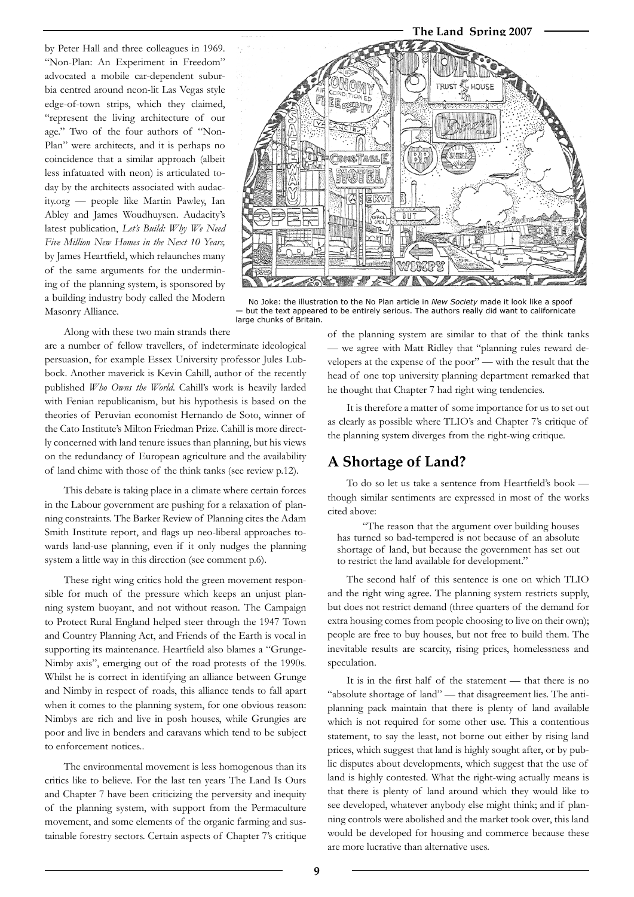by Peter Hall and three colleagues in 1969. "Non-Plan: An Experiment in Freedom" advocated a mobile car-dependent suburbia centred around neon-lit Las Vegas style edge-of-town strips, which they claimed, "represent the living architecture of our age." Two of the four authors of "Non-Plan" were architects, and it is perhaps no coincidence that a similar approach (albeit less infatuated with neon) is articulated today by the architects associated with audacity.org — people like Martin Pawley, Ian Abley and James Woudhuysen. Audacity's latest publication, *Let's Build: Why We Need Five Million New Homes in the Next 10 Years,*  by James Heartfield, which relaunches many of the same arguments for the undermining of the planning system, is sponsored by a building industry body called the Modern Masonry Alliance.



No Joke: the illustration to the No Plan article in *New Society* made it look like a spoof but the text appeared to be entirely serious. The authors really did want to californicate large chunks of Britain.

Along with these two main strands there

are a number of fellow travellers, of indeterminate ideological persuasion, for example Essex University professor Jules Lubbock. Another maverick is Kevin Cahill, author of the recently published *Who Owns the World*. Cahill's work is heavily larded with Fenian republicanism, but his hypothesis is based on the theories of Peruvian economist Hernando de Soto, winner of the Cato Institute's Milton Friedman Prize. Cahill is more directly concerned with land tenure issues than planning, but his views on the redundancy of European agriculture and the availability of land chime with those of the think tanks (see review p.12).

This debate is taking place in a climate where certain forces in the Labour government are pushing for a relaxation of planning constraints. The Barker Review of Planning cites the Adam Smith Institute report, and flags up neo-liberal approaches towards land-use planning, even if it only nudges the planning system a little way in this direction (see comment p.6).

These right wing critics hold the green movement responsible for much of the pressure which keeps an unjust planning system buoyant, and not without reason. The Campaign to Protect Rural England helped steer through the 1947 Town and Country Planning Act, and Friends of the Earth is vocal in supporting its maintenance. Heartfield also blames a "Grunge-Nimby axis", emerging out of the road protests of the 1990s. Whilst he is correct in identifying an alliance between Grunge and Nimby in respect of roads, this alliance tends to fall apart when it comes to the planning system, for one obvious reason: Nimbys are rich and live in posh houses, while Grungies are poor and live in benders and caravans which tend to be subject to enforcement notices..

The environmental movement is less homogenous than its critics like to believe. For the last ten years The Land Is Ours and Chapter 7 have been criticizing the perversity and inequity of the planning system, with support from the Permaculture movement, and some elements of the organic farming and sustainable forestry sectors. Certain aspects of Chapter 7's critique

of the planning system are similar to that of the think tanks — we agree with Matt Ridley that "planning rules reward developers at the expense of the poor" — with the result that the head of one top university planning department remarked that he thought that Chapter 7 had right wing tendencies.

It is therefore a matter of some importance for us to set out as clearly as possible where TLIO's and Chapter 7's critique of the planning system diverges from the right-wing critique.

## **A Shortage of Land?**

To do so let us take a sentence from Heartfield's book though similar sentiments are expressed in most of the works cited above:

"The reason that the argument over building houses has turned so bad-tempered is not because of an absolute shortage of land, but because the government has set out to restrict the land available for development."

The second half of this sentence is one on which TLIO and the right wing agree. The planning system restricts supply, but does not restrict demand (three quarters of the demand for extra housing comes from people choosing to live on their own); people are free to buy houses, but not free to build them. The inevitable results are scarcity, rising prices, homelessness and speculation.

It is in the first half of the statement — that there is no "absolute shortage of land" — that disagreement lies. The antiplanning pack maintain that there is plenty of land available which is not required for some other use. This a contentious statement, to say the least, not borne out either by rising land prices, which suggest that land is highly sought after, or by public disputes about developments, which suggest that the use of land is highly contested. What the right-wing actually means is that there is plenty of land around which they would like to see developed, whatever anybody else might think; and if planning controls were abolished and the market took over, this land would be developed for housing and commerce because these are more lucrative than alternative uses.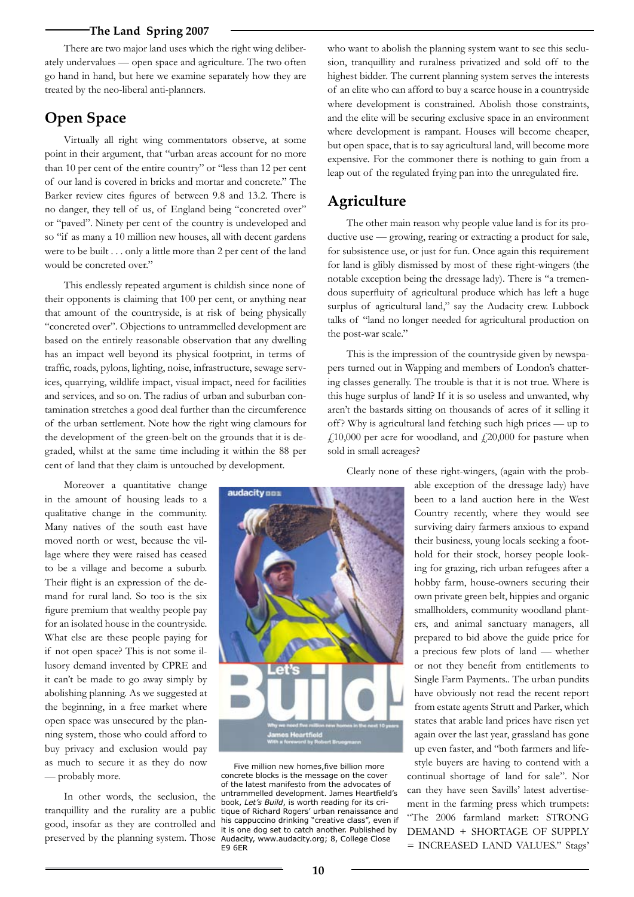#### **The Land Spring 2007**

There are two major land uses which the right wing deliberately undervalues — open space and agriculture. The two often go hand in hand, but here we examine separately how they are treated by the neo-liberal anti-planners.

### **Open Space**

Virtually all right wing commentators observe, at some point in their argument, that "urban areas account for no more than 10 per cent of the entire country" or "less than 12 per cent of our land is covered in bricks and mortar and concrete." The Barker review cites figures of between 9.8 and 13.2. There is no danger, they tell of us, of England being "concreted over" or "paved". Ninety per cent of the country is undeveloped and so "if as many a 10 million new houses, all with decent gardens were to be built . . . only a little more than 2 per cent of the land would be concreted over."

This endlessly repeated argument is childish since none of their opponents is claiming that 100 per cent, or anything near that amount of the countryside, is at risk of being physically "concreted over". Objections to untrammelled development are based on the entirely reasonable observation that any dwelling has an impact well beyond its physical footprint, in terms of traffic, roads, pylons, lighting, noise, infrastructure, sewage services, quarrying, wildlife impact, visual impact, need for facilities and services, and so on. The radius of urban and suburban contamination stretches a good deal further than the circumference of the urban settlement. Note how the right wing clamours for the development of the green-belt on the grounds that it is degraded, whilst at the same time including it within the 88 per cent of land that they claim is untouched by development.

Moreover a quantitative change in the amount of housing leads to a qualitative change in the community. Many natives of the south east have moved north or west, because the village where they were raised has ceased to be a village and become a suburb. Their flight is an expression of the demand for rural land. So too is the six figure premium that wealthy people pay for an isolated house in the countryside. What else are these people paying for if not open space? This is not some illusory demand invented by CPRE and it can't be made to go away simply by abolishing planning. As we suggested at the beginning, in a free market where open space was unsecured by the planning system, those who could afford to buy privacy and exclusion would pay as much to secure it as they do now — probably more.

In other words, the seclusion, the tranquillity and the rurality are a public good, insofar as they are controlled and preserved by the planning system. Those

audacity nn: **Let** 

Five million new homes,five billion more concrete blocks is the message on the cover of the latest manifesto from the advocates of untrammelled development. James Heartfield's book, *Let's Build*, is worth reading for its critique of Richard Rogers' urban renaissance and his cappuccino drinking "creative class", even if it is one dog set to catch another. Published by Audacity, www.audacity.org; 8, College Close E9 6ER

who want to abolish the planning system want to see this seclusion, tranquillity and ruralness privatized and sold off to the highest bidder. The current planning system serves the interests of an elite who can afford to buy a scarce house in a countryside where development is constrained. Abolish those constraints, and the elite will be securing exclusive space in an environment where development is rampant. Houses will become cheaper, but open space, that is to say agricultural land, will become more expensive. For the commoner there is nothing to gain from a leap out of the regulated frying pan into the unregulated fire.

## **Agriculture**

The other main reason why people value land is for its productive use — growing, rearing or extracting a product for sale, for subsistence use, or just for fun. Once again this requirement for land is glibly dismissed by most of these right-wingers (the notable exception being the dressage lady). There is "a tremendous superfluity of agricultural produce which has left a huge surplus of agricultural land," say the Audacity crew. Lubbock talks of "land no longer needed for agricultural production on the post-war scale."

This is the impression of the countryside given by newspapers turned out in Wapping and members of London's chattering classes generally. The trouble is that it is not true. Where is this huge surplus of land? If it is so useless and unwanted, why aren't the bastards sitting on thousands of acres of it selling it off? Why is agricultural land fetching such high prices — up to  $f<sub>10</sub>,000$  per acre for woodland, and  $f<sub>20</sub>,000$  for pasture when sold in small acreages?

Clearly none of these right-wingers, (again with the prob-

able exception of the dressage lady) have been to a land auction here in the West Country recently, where they would see surviving dairy farmers anxious to expand their business, young locals seeking a foothold for their stock, horsey people looking for grazing, rich urban refugees after a hobby farm, house-owners securing their own private green belt, hippies and organic smallholders, community woodland planters, and animal sanctuary managers, all prepared to bid above the guide price for a precious few plots of land — whether or not they benefit from entitlements to Single Farm Payments.. The urban pundits have obviously not read the recent report from estate agents Strutt and Parker, which states that arable land prices have risen yet again over the last year, grassland has gone up even faster, and "both farmers and lifestyle buyers are having to contend with a continual shortage of land for sale". Nor can they have seen Savills' latest advertisement in the farming press which trumpets: "The 2006 farmland market: STRONG DEMAND + SHORTAGE OF SUPPLY = INCREASED LAND VALUES." Stags'

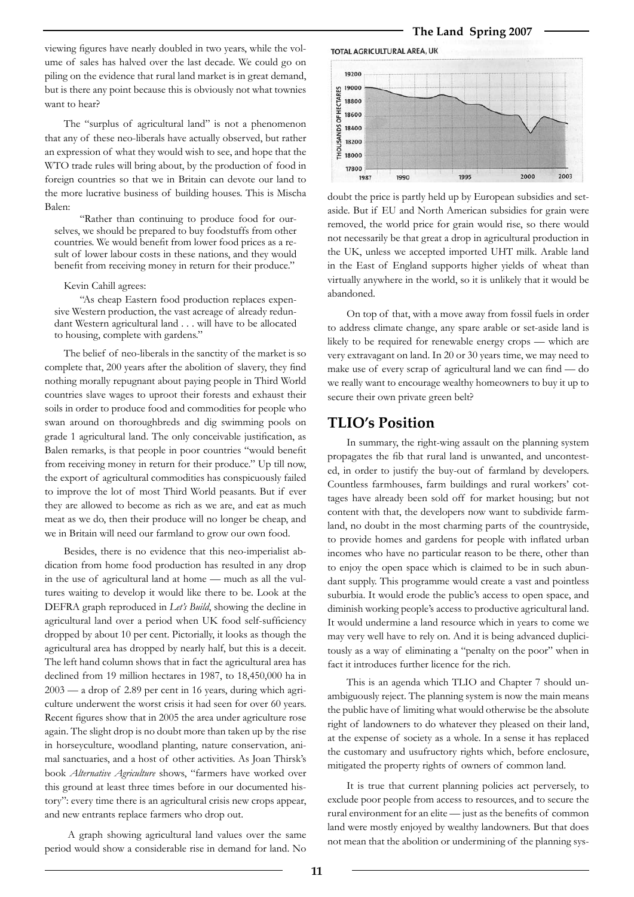viewing figures have nearly doubled in two years, while the volume of sales has halved over the last decade. We could go on piling on the evidence that rural land market is in great demand, but is there any point because this is obviously not what townies want to hear?

The "surplus of agricultural land" is not a phenomenon that any of these neo-liberals have actually observed, but rather an expression of what they would wish to see, and hope that the WTO trade rules will bring about, by the production of food in foreign countries so that we in Britain can devote our land to the more lucrative business of building houses. This is Mischa Balen:

"Rather than continuing to produce food for ourselves, we should be prepared to buy foodstuffs from other countries. We would benefit from lower food prices as a result of lower labour costs in these nations, and they would benefit from receiving money in return for their produce."

#### Kevin Cahill agrees:

"As cheap Eastern food production replaces expensive Western production, the vast acreage of already redundant Western agricultural land . . . will have to be allocated to housing, complete with gardens."

The belief of neo-liberals in the sanctity of the market is so complete that, 200 years after the abolition of slavery, they find nothing morally repugnant about paying people in Third World countries slave wages to uproot their forests and exhaust their soils in order to produce food and commodities for people who swan around on thoroughbreds and dig swimming pools on grade 1 agricultural land. The only conceivable justification, as Balen remarks, is that people in poor countries "would benefit from receiving money in return for their produce." Up till now, the export of agricultural commodities has conspicuously failed to improve the lot of most Third World peasants. But if ever they are allowed to become as rich as we are, and eat as much meat as we do, then their produce will no longer be cheap, and we in Britain will need our farmland to grow our own food.

Besides, there is no evidence that this neo-imperialist abdication from home food production has resulted in any drop in the use of agricultural land at home — much as all the vultures waiting to develop it would like there to be. Look at the DEFRA graph reproduced in *Let's Build*, showing the decline in agricultural land over a period when UK food self-sufficiency dropped by about 10 per cent. Pictorially, it looks as though the agricultural area has dropped by nearly half, but this is a deceit. The left hand column shows that in fact the agricultural area has declined from 19 million hectares in 1987, to 18,450,000 ha in 2003 — a drop of 2.89 per cent in 16 years, during which agriculture underwent the worst crisis it had seen for over 60 years. Recent figures show that in 2005 the area under agriculture rose again. The slight drop is no doubt more than taken up by the rise in horseyculture, woodland planting, nature conservation, animal sanctuaries, and a host of other activities. As Joan Thirsk's book *Alternative Agriculture* shows, "farmers have worked over this ground at least three times before in our documented history": every time there is an agricultural crisis new crops appear, and new entrants replace farmers who drop out.

 A graph showing agricultural land values over the same period would show a considerable rise in demand for land. No

#### **The Land Spring 2007**



doubt the price is partly held up by European subsidies and setaside. But if EU and North American subsidies for grain were removed, the world price for grain would rise, so there would not necessarily be that great a drop in agricultural production in the UK, unless we accepted imported UHT milk. Arable land in the East of England supports higher yields of wheat than virtually anywhere in the world, so it is unlikely that it would be abandoned.

On top of that, with a move away from fossil fuels in order to address climate change, any spare arable or set-aside land is likely to be required for renewable energy crops — which are very extravagant on land. In 20 or 30 years time, we may need to make use of every scrap of agricultural land we can find — do we really want to encourage wealthy homeowners to buy it up to secure their own private green belt?

#### **TLIO's Position**

In summary, the right-wing assault on the planning system propagates the fib that rural land is unwanted, and uncontested, in order to justify the buy-out of farmland by developers. Countless farmhouses, farm buildings and rural workers' cottages have already been sold off for market housing; but not content with that, the developers now want to subdivide farmland, no doubt in the most charming parts of the countryside, to provide homes and gardens for people with inflated urban incomes who have no particular reason to be there, other than to enjoy the open space which is claimed to be in such abundant supply. This programme would create a vast and pointless suburbia. It would erode the public's access to open space, and diminish working people's access to productive agricultural land. It would undermine a land resource which in years to come we may very well have to rely on. And it is being advanced duplicitously as a way of eliminating a "penalty on the poor" when in fact it introduces further licence for the rich.

This is an agenda which TLIO and Chapter 7 should unambiguously reject. The planning system is now the main means the public have of limiting what would otherwise be the absolute right of landowners to do whatever they pleased on their land, at the expense of society as a whole. In a sense it has replaced the customary and usufructory rights which, before enclosure, mitigated the property rights of owners of common land.

It is true that current planning policies act perversely, to exclude poor people from access to resources, and to secure the rural environment for an elite — just as the benefits of common land were mostly enjoyed by wealthy landowners. But that does not mean that the abolition or undermining of the planning sys-